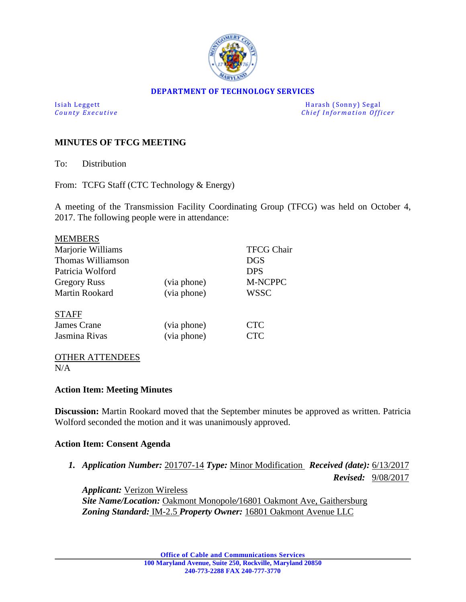

#### **DEPARTMENT OF TECHNOLOGY SERVICES**

Isiah Leggett Harash (Sonny) Segal *Chief Information Officer* 

# **MINUTES OF TFCG MEETING**

To: Distribution

From: TCFG Staff (CTC Technology & Energy)

A meeting of the Transmission Facility Coordinating Group (TFCG) was held on October 4, 2017. The following people were in attendance:

|             | <b>TFCG Chair</b> |
|-------------|-------------------|
|             | <b>DGS</b>        |
|             | <b>DPS</b>        |
| (via phone) | <b>M-NCPPC</b>    |
| (via phone) | WSSC              |
|             |                   |
| (via phone) | <b>CTC</b>        |
| (via phone) | CTC               |
|             |                   |

#### OTHER ATTENDEES  $N/A$

## **Action Item: Meeting Minutes**

**Discussion:** Martin Rookard moved that the September minutes be approved as written. Patricia Wolford seconded the motion and it was unanimously approved.

### **Action Item: Consent Agenda**

*1. Application Number:* 201707-14 *Type:* Minor Modification *Received (date):* 6/13/2017

 *Revised:* 9/08/2017

*Applicant:* Verizon Wireless *Site Name/Location:* Oakmont Monopole*/*16801 Oakmont Ave, Gaithersburg *Zoning Standard:* IM-2.5 *Property Owner:* 16801 Oakmont Avenue LLC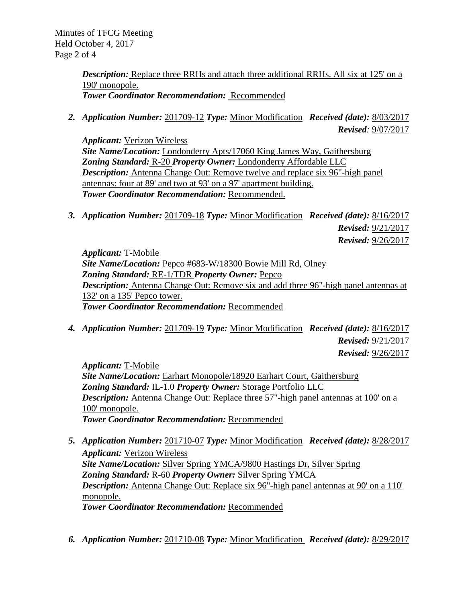Minutes of TFCG Meeting Held October 4, 2017 Page 2 of 4

> *Description:* Replace three RRHs and attach three additional RRHs. All six at 125' on a 190' monopole. *Tower Coordinator Recommendation:* Recommended

*2. Application Number:* 201709-12 *Type:* Minor Modification *Received (date):* 8/03/2017 *Revised:* 9/07/2017

*Applicant:* Verizon Wireless *Site Name/Location:* Londonderry Apts/17060 King James Way, Gaithersburg *Zoning Standard:* R-20 *Property Owner:* Londonderry Affordable LLC *Description:* Antenna Change Out: Remove twelve and replace six 96"-high panel antennas: four at 89' and two at 93' on a 97' apartment building. *Tower Coordinator Recommendation:* Recommended.

*3. Application Number:* 201709-18 *Type:* Minor Modification *Received (date):* 8/16/2017  *Revised:* 9/21/2017  *Revised:* 9/26/2017

*Applicant:* T-Mobile *Site Name/Location:* Pepco #683-W/18300 Bowie Mill Rd, Olney *Zoning Standard:* RE-1/TDR *Property Owner:* Pepco *Description:* Antenna Change Out: Remove six and add three 96"-high panel antennas at 132' on a 135' Pepco tower. *Tower Coordinator Recommendation:* Recommended

*4. Application Number:* 201709-19 *Type:* Minor Modification *Received (date):* 8/16/2017  *Revised:* 9/21/2017  *Revised:* 9/26/2017

*Applicant:* T-Mobile *Site Name/Location:* Earhart Monopole/18920 Earhart Court, Gaithersburg *Zoning Standard:* IL-1.0 *Property Owner:* Storage Portfolio LLC *Description:* Antenna Change Out: Replace three 57"-high panel antennas at 100' on a 100' monopole. *Tower Coordinator Recommendation:* Recommended

- *5. Application Number:* 201710-07 *Type:* Minor Modification *Received (date):* 8/28/2017 *Applicant:* Verizon Wireless *Site Name/Location:* Silver Spring YMCA/9800 Hastings Dr, Silver Spring *Zoning Standard:* R-60 *Property Owner:* Silver Spring YMCA *Description:* Antenna Change Out: Replace six 96"-high panel antennas at 90' on a 110' monopole. *Tower Coordinator Recommendation:* Recommended
- *6. Application Number:* 201710-08 *Type:* Minor Modification *Received (date):* 8/29/2017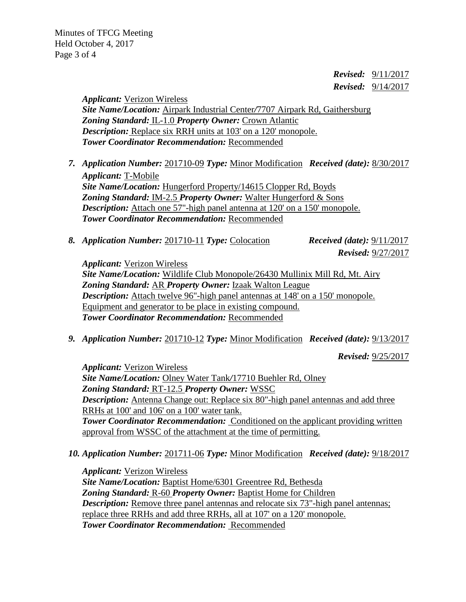*Revised:* 9/11/2017  *Revised:* 9/14/2017

*Applicant:* Verizon Wireless *Site Name/Location:* Airpark Industrial Center*/*7707 Airpark Rd, Gaithersburg *Zoning Standard:* IL-1.0 *Property Owner:* Crown Atlantic *Description:* Replace six RRH units at 103' on a 120' monopole. *Tower Coordinator Recommendation:* Recommended

- *7. Application Number:* 201710-09 *Type:* Minor Modification *Received (date):* 8/30/2017 *Applicant:* T-Mobile *Site Name/Location:* Hungerford Property/14615 Clopper Rd, Boyds *Zoning Standard:* IM-2.5 *Property Owner:* Walter Hungerford & Sons *Description:* Attach one 57"-high panel antenna at 120' on a 150' monopole. *Tower Coordinator Recommendation:* Recommended
- *8. Application Number:* 201710-11 *Type:* Colocation *Received (date):* 9/11/2017

 *Revised:* 9/27/2017

*Applicant:* Verizon Wireless

*Site Name/Location:* Wildlife Club Monopole/26430 Mullinix Mill Rd, Mt. Airy *Zoning Standard:* AR *Property Owner:* Izaak Walton League *Description:* Attach twelve 96"-high panel antennas at 148' on a 150' monopole. Equipment and generator to be place in existing compound. *Tower Coordinator Recommendation:* Recommended

*9. Application Number:* 201710-12 *Type:* Minor Modification *Received (date):* 9/13/2017

 *Revised:* 9/25/2017

*Applicant:* Verizon Wireless *Site Name/Location:* Olney Water Tank*/*17710 Buehler Rd, Olney *Zoning Standard:* RT-12.5 *Property Owner:* WSSC *Description:* Antenna Change out: Replace six 80"-high panel antennas and add three RRHs at 100' and 106' on a 100' water tank. *Tower Coordinator Recommendation:* Conditioned on the applicant providing written approval from WSSC of the attachment at the time of permitting.

*10. Application Number:* 201711-06 *Type:* Minor Modification *Received (date):* 9/18/2017

*Applicant:* Verizon Wireless *Site Name/Location:* Baptist Home/6301 Greentree Rd, Bethesda *Zoning Standard:* R-60 *Property Owner:* Baptist Home for Children *Description:* Remove three panel antennas and relocate six 73"-high panel antennas; replace three RRHs and add three RRHs, all at 107' on a 120' monopole. *Tower Coordinator Recommendation:* Recommended